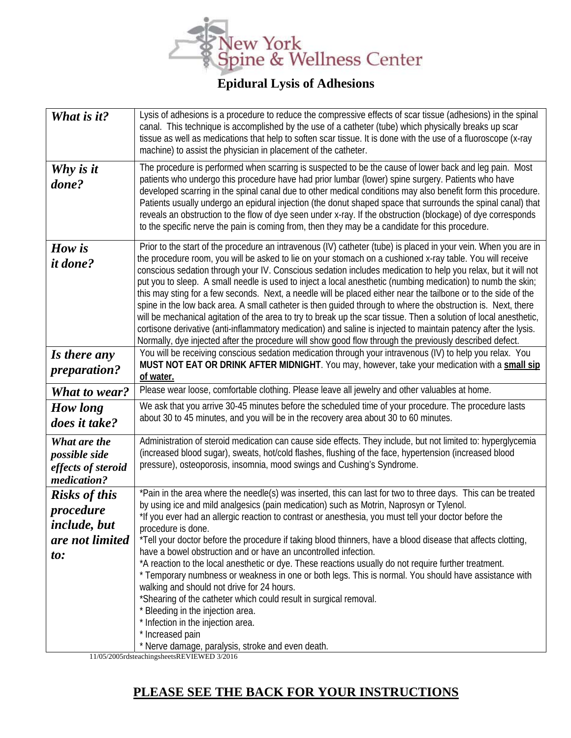

## **Epidural Lysis of Adhesions**

|                                                                                                      | canal. This technique is accomplished by the use of a catheter (tube) which physically breaks up scar<br>tissue as well as medications that help to soften scar tissue. It is done with the use of a fluoroscope (x-ray<br>machine) to assist the physician in placement of the catheter.                                                                                                                                                                                                                                                                                                                                                                                                                                                                                                                                                                                                                                                                                                                                                          |
|------------------------------------------------------------------------------------------------------|----------------------------------------------------------------------------------------------------------------------------------------------------------------------------------------------------------------------------------------------------------------------------------------------------------------------------------------------------------------------------------------------------------------------------------------------------------------------------------------------------------------------------------------------------------------------------------------------------------------------------------------------------------------------------------------------------------------------------------------------------------------------------------------------------------------------------------------------------------------------------------------------------------------------------------------------------------------------------------------------------------------------------------------------------|
| Why is it<br>done?                                                                                   | The procedure is performed when scarring is suspected to be the cause of lower back and leg pain. Most<br>patients who undergo this procedure have had prior lumbar (lower) spine surgery. Patients who have<br>developed scarring in the spinal canal due to other medical conditions may also benefit form this procedure.<br>Patients usually undergo an epidural injection (the donut shaped space that surrounds the spinal canal) that<br>reveals an obstruction to the flow of dye seen under x-ray. If the obstruction (blockage) of dye corresponds<br>to the specific nerve the pain is coming from, then they may be a candidate for this procedure.                                                                                                                                                                                                                                                                                                                                                                                    |
| How is<br><i>it done?</i>                                                                            | Prior to the start of the procedure an intravenous (IV) catheter (tube) is placed in your vein. When you are in<br>the procedure room, you will be asked to lie on your stomach on a cushioned x-ray table. You will receive<br>conscious sedation through your IV. Conscious sedation includes medication to help you relax, but it will not<br>put you to sleep. A small needle is used to inject a local anesthetic (numbing medication) to numb the skin;<br>this may sting for a few seconds. Next, a needle will be placed either near the tailbone or to the side of the<br>spine in the low back area. A small catheter is then guided through to where the obstruction is. Next, there<br>will be mechanical agitation of the area to try to break up the scar tissue. Then a solution of local anesthetic,<br>cortisone derivative (anti-inflammatory medication) and saline is injected to maintain patency after the lysis.<br>Normally, dye injected after the procedure will show good flow through the previously described defect. |
| Is there any<br><i>preparation?</i>                                                                  | You will be receiving conscious sedation medication through your intravenous (IV) to help you relax. You<br>MUST NOT EAT OR DRINK AFTER MIDNIGHT. You may, however, take your medication with a small sip<br>of water.                                                                                                                                                                                                                                                                                                                                                                                                                                                                                                                                                                                                                                                                                                                                                                                                                             |
| What to wear?                                                                                        | Please wear loose, comfortable clothing. Please leave all jewelry and other valuables at home.                                                                                                                                                                                                                                                                                                                                                                                                                                                                                                                                                                                                                                                                                                                                                                                                                                                                                                                                                     |
| How long<br>does it take?                                                                            | We ask that you arrive 30-45 minutes before the scheduled time of your procedure. The procedure lasts<br>about 30 to 45 minutes, and you will be in the recovery area about 30 to 60 minutes.                                                                                                                                                                                                                                                                                                                                                                                                                                                                                                                                                                                                                                                                                                                                                                                                                                                      |
| What are the<br>possible side<br>effects of steroid<br>medication?                                   | Administration of steroid medication can cause side effects. They include, but not limited to: hyperglycemia<br>(increased blood sugar), sweats, hot/cold flashes, flushing of the face, hypertension (increased blood<br>pressure), osteoporosis, insomnia, mood swings and Cushing's Syndrome.                                                                                                                                                                                                                                                                                                                                                                                                                                                                                                                                                                                                                                                                                                                                                   |
| <b>Risks of this</b><br>procedure<br>include, but<br>are not limited<br>$\boldsymbol{\mathit{to}}$ : | *Pain in the area where the needle(s) was inserted, this can last for two to three days. This can be treated<br>by using ice and mild analgesics (pain medication) such as Motrin, Naprosyn or Tylenol.<br>*If you ever had an allergic reaction to contrast or anesthesia, you must tell your doctor before the<br>procedure is done.<br>*Tell your doctor before the procedure if taking blood thinners, have a blood disease that affects clotting,<br>have a bowel obstruction and or have an uncontrolled infection.<br>*A reaction to the local anesthetic or dye. These reactions usually do not require further treatment.<br>* Temporary numbness or weakness in one or both legs. This is normal. You should have assistance with<br>walking and should not drive for 24 hours.<br>*Shearing of the catheter which could result in surgical removal.<br>* Bleeding in the injection area.<br>* Infection in the injection area.<br>* Increased pain<br>* Nerve damage, paralysis, stroke and even death.                                 |

11/05/2005rdsteachingsheetsREVIEWED 3/2016

## **PLEASE SEE THE BACK FOR YOUR INSTRUCTIONS**